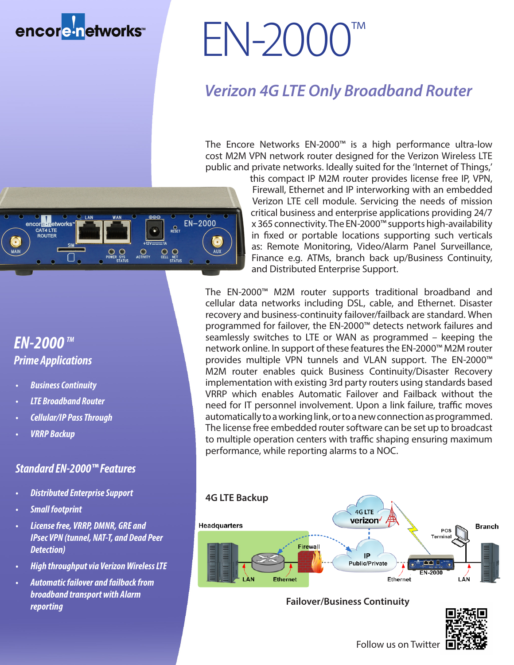### encore-networks

# EN-2000

#### *Verizon 4G LTE Only Broadband Router*

The Encore Networks EN-2000™ is a high performance ultra-low cost M2M VPN network router designed for the Verizon Wireless LTE public and private networks. Ideally suited for the 'Internet of Things,'



this compact IP M2M router provides license free IP, VPN, Firewall, Ethernet and IP interworking with an embedded Verizon LTE cell module. Servicing the needs of mission critical business and enterprise applications providing 24/7 x 365 connectivity. The EN-2000™ supports high-availability in fixed or portable locations supporting such verticals as: Remote Monitoring, Video/Alarm Panel Surveillance, Finance e.g. ATMs, branch back up/Business Continuity, and Distributed Enterprise Support.

The EN-2000™ M2M router supports traditional broadband and cellular data networks including DSL, cable, and Ethernet. Disaster recovery and business-continuity failover/failback are standard. When programmed for failover, the EN-2000™ detects network failures and seamlessly switches to LTE or WAN as programmed – keeping the network online. In support of these features the EN-2000™ M2M router provides multiple VPN tunnels and VLAN support. The EN-2000™ M2M router enables quick Business Continuity/Disaster Recovery implementation with existing 3rd party routers using standards based VRRP which enables Automatic Failover and Failback without the need for IT personnel involvement. Upon a link failure, traffic moves automatically to a working link, or to a new connection as programmed. The license free embedded router software can be set up to broadcast to multiple operation centers with traffic shaping ensuring maximum performance, while reporting alarms to a NOC.



#### **Failover/Business Continuity**



#### *EN-2000 TM Prime Applications*

- *• Business Continuity*
- *• LTE Broadband Router*
- *• Cellular/IP Pass Through*
- *• VRRP Backup*

#### *Standard EN-2000™ Features*

- *• Distributed Enterprise Support*
- *• Small footprint*
- *• License free, VRRP, DMNR, GRE and IPsec VPN (tunnel, NAT-T, and Dead Peer Detection)*
- *• High throughput via Verizon Wireless LTE*
- *• Automatic failover and failback from broadband transport with Alarm reporting*